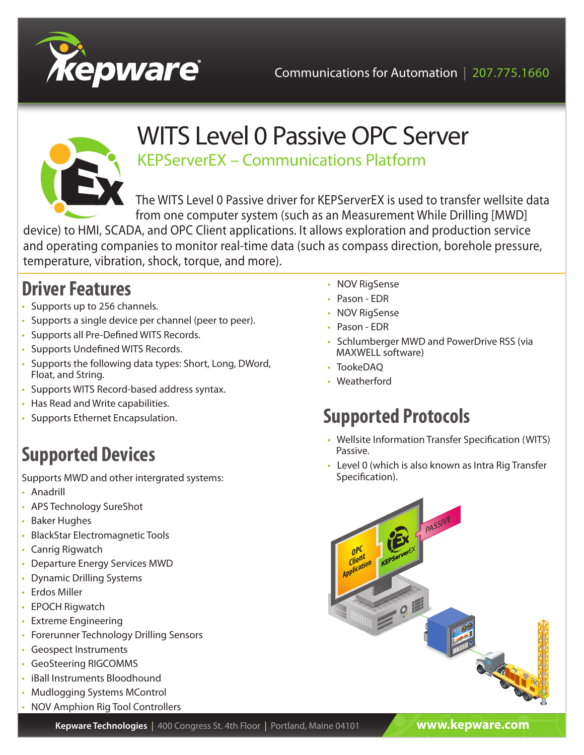



# WITS Level 0 Passive OPC Server

KEPServerEX – Communications Platform

The WITS Level 0 Passive driver for KEPServerEX is used to transfer wellsite data from one computer system (such as an Measurement While Drilling [MWD]

device) to HMI, SCADA, and OPC Client applications. It allows exploration and production service and operating companies to monitor real-time data (such as compass direction, borehole pressure, temperature, vibration, shock, torque, and more).

## **Driver Features**

- Supports up to 256 channels.
- Supports a single device per channel (peer to peer).
- Supports all Pre-Defined WITS Records.
- Supports Undefined WITS Records.
- Supports the following data types: Short, Long, DWord, Float, and String.
- Supports WITS Record-based address syntax.
- Has Read and Write capabilities.
- Supports Ethernet Encapsulation.

# **Supported Devices**

Supports MWD and other intergrated systems:

- Anadrill
- APS Technology SureShot
- Baker Hughes
- BlackStar Electromagnetic Tools
- Canrig Rigwatch
- Departure Energy Services MWD
- Dynamic Drilling Systems
- Erdos Miller
- EPOCH Rigwatch
- Extreme Engineering
- Forerunner Technology Drilling Sensors
- Geospect Instruments
- GeoSteering RIGCOMMS
- iBall Instruments Bloodhound
- Mudlogging Systems MControl
- NOV Amphion Rig Tool Controllers
- NOV RigSense
- Pason EDR
- NOV RiaSense
- Pason EDR
- Schlumberger MWD and PowerDrive RSS (via MAXWELL software)
- TookeDAQ
- Weatherford

# **Supported Protocols**

- Wellsite Information Transfer Specification (WITS) Passive.
- Level 0 (which is also known as Intra Rig Transfer Specification).